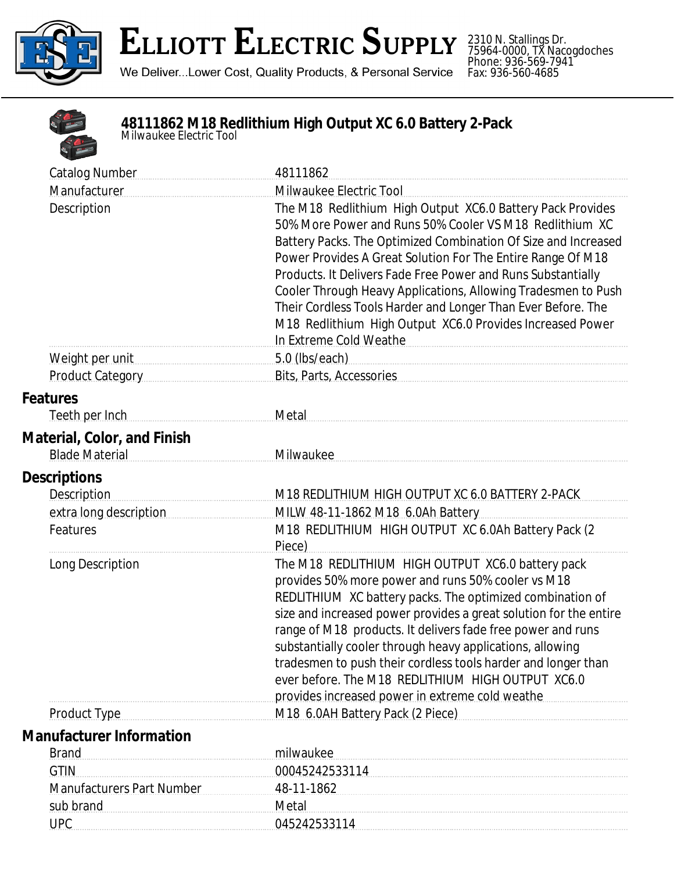

2310 N. Stallings Dr. 75964-0000, TX Nacogdoches Phone: 936-569-7941 Fax: 936-560-4685



## **48111862 M18 Redlithium High Output XC 6.0 Battery 2-Pack** *Milwaukee Electric Tool*

| <b>Catalog Number</b>                                       | 48111862                                                                                                                                                                                                                                                                                                                                                                                                                                                                                                                                       |
|-------------------------------------------------------------|------------------------------------------------------------------------------------------------------------------------------------------------------------------------------------------------------------------------------------------------------------------------------------------------------------------------------------------------------------------------------------------------------------------------------------------------------------------------------------------------------------------------------------------------|
| Manufacturer                                                | Milwaukee Electric Tool                                                                                                                                                                                                                                                                                                                                                                                                                                                                                                                        |
| Description                                                 | The M18 Redlithium High Output XC6.0 Battery Pack Provides<br>50% More Power and Runs 50% Cooler VS M18 Redlithium XC<br>Battery Packs. The Optimized Combination Of Size and Increased<br>Power Provides A Great Solution For The Entire Range Of M18<br>Products. It Delivers Fade Free Power and Runs Substantially<br>Cooler Through Heavy Applications, Allowing Tradesmen to Push<br>Their Cordless Tools Harder and Longer Than Ever Before. The<br>M18 Redlithium High Output XC6.0 Provides Increased Power<br>In Extreme Cold Weathe |
|                                                             | 5.0 (lbs/each)                                                                                                                                                                                                                                                                                                                                                                                                                                                                                                                                 |
| <b>Product Category</b>                                     | Bits, Parts, Accessories                                                                                                                                                                                                                                                                                                                                                                                                                                                                                                                       |
| <b>Features</b>                                             |                                                                                                                                                                                                                                                                                                                                                                                                                                                                                                                                                |
| Teeth per Inch                                              | Metal                                                                                                                                                                                                                                                                                                                                                                                                                                                                                                                                          |
| <b>Material, Color, and Finish</b><br><b>Blade Material</b> | Milwaukee                                                                                                                                                                                                                                                                                                                                                                                                                                                                                                                                      |
| <b>Descriptions</b>                                         |                                                                                                                                                                                                                                                                                                                                                                                                                                                                                                                                                |
| <b>Description</b>                                          | M18 REDLITHIUM HIGH OUTPUT XC 6.0 BATTERY 2-PACK                                                                                                                                                                                                                                                                                                                                                                                                                                                                                               |
| extra long description                                      | MILW 48-11-1862 M18 6.0Ah Battery                                                                                                                                                                                                                                                                                                                                                                                                                                                                                                              |
| Features                                                    | M18 REDLITHIUM HIGH OUTPUT XC 6.0Ah Battery Pack (2<br>Piece)                                                                                                                                                                                                                                                                                                                                                                                                                                                                                  |
| Long Description                                            | The M18 REDLITHIUM HIGH OUTPUT XC6.0 battery pack<br>provides 50% more power and runs 50% cooler vs M18<br>REDLITHIUM XC battery packs. The optimized combination of<br>size and increased power provides a great solution for the entire<br>range of M18 products. It delivers fade free power and runs<br>substantially cooler through heavy applications, allowing<br>tradesmen to push their cordless tools harder and longer than<br>ever before. The M18 REDLITHIUM HIGH OUTPUT XC6.0<br>provides increased power in extreme cold weathe |
| Product Type                                                | M18 6.0AH Battery Pack (2 Piece)<br>M18 6.0AH Battery Pack (2 Piece)                                                                                                                                                                                                                                                                                                                                                                                                                                                                           |
| <b>Manufacturer Information</b>                             |                                                                                                                                                                                                                                                                                                                                                                                                                                                                                                                                                |
| <b>Brand</b>                                                | milwaukee                                                                                                                                                                                                                                                                                                                                                                                                                                                                                                                                      |
| <b>GTIN</b>                                                 | 00045242533114                                                                                                                                                                                                                                                                                                                                                                                                                                                                                                                                 |
| <b>Manufacturers Part Number</b>                            | 48-11-1862                                                                                                                                                                                                                                                                                                                                                                                                                                                                                                                                     |
| sub brand                                                   | Metal                                                                                                                                                                                                                                                                                                                                                                                                                                                                                                                                          |
| <b>UPC</b>                                                  | 045242533114                                                                                                                                                                                                                                                                                                                                                                                                                                                                                                                                   |